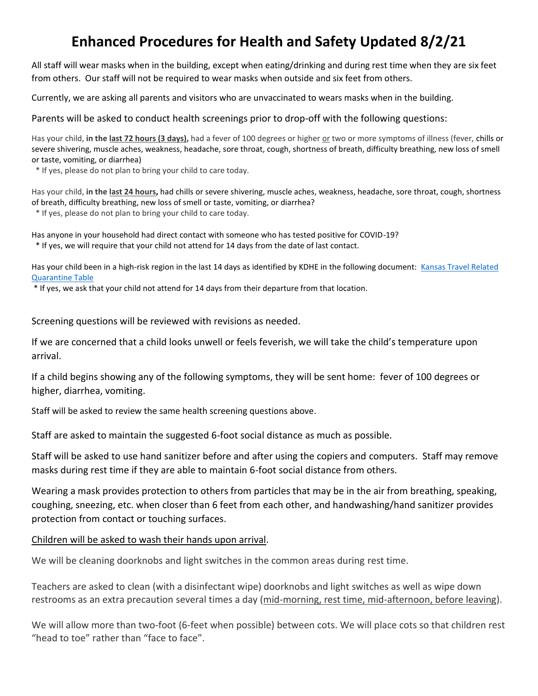## **Enhanced Procedures for Health and Safety Updated 8/2/21**

All staff will wear masks when in the building, except when eating/drinking and during rest time when they are six feet from others. Our staff will not be required to wear masks when outside and six feet from others.

Currently, we are asking all parents and visitors who are unvaccinated to wears masks when in the building.

Parents will be asked to conduct health screenings prior to drop-off with the following questions:

Has your child, **in the last 72 hours (3 days),** had a fever of 100 degrees or higher or two or more symptoms of illness (fever, chills or severe shivering, muscle aches, weakness, headache, sore throat, cough, shortness of breath, difficulty breathing, new loss of smell or taste, vomiting, or diarrhea)

\* If yes, please do not plan to bring your child to care today.

Has your child, **in the last 24 hours,** had chills or severe shivering, muscle aches, weakness, headache, sore throat, cough, shortness of breath, difficulty breathing, new loss of smell or taste, vomiting, or diarrhea?

\* If yes, please do not plan to bring your child to care today.

Has anyone in your household had direct contact with someone who has tested positive for COVID-19? \* If yes, we will require that your child not attend for 14 days from the date of last contact.

Has your child been in a high-risk region in the last 14 days as identified by KDHE in the following document: Kansas Travel Related Quarantine Table

\* If yes, we ask that your child not attend for 14 days from their departure from that location.

Screening questions will be reviewed with revisions as needed.

If we are concerned that a child looks unwell or feels feverish, we will take the child's temperature upon arrival.

If a child begins showing any of the following symptoms, they will be sent home: fever of 100 degrees or higher, diarrhea, vomiting.

Staff will be asked to review the same health screening questions above.

Staff are asked to maintain the suggested 6-foot social distance as much as possible.

Staff will be asked to use hand sanitizer before and after using the copiers and computers. Staff may remove masks during rest time if they are able to maintain 6-foot social distance from others.

Wearing a mask provides protection to others from particles that may be in the air from breathing, speaking, coughing, sneezing, etc. when closer than 6 feet from each other, and handwashing/hand sanitizer provides protection from contact or touching surfaces.

## Children will be asked to wash their hands upon arrival.

We will be cleaning doorknobs and light switches in the common areas during rest time.

Teachers are asked to clean (with a disinfectant wipe) doorknobs and light switches as well as wipe down restrooms as an extra precaution several times a day (mid-morning, rest time, mid-afternoon, before leaving).

We will allow more than two-foot (6-feet when possible) between cots. We will place cots so that children rest "head to toe" rather than "face to face".